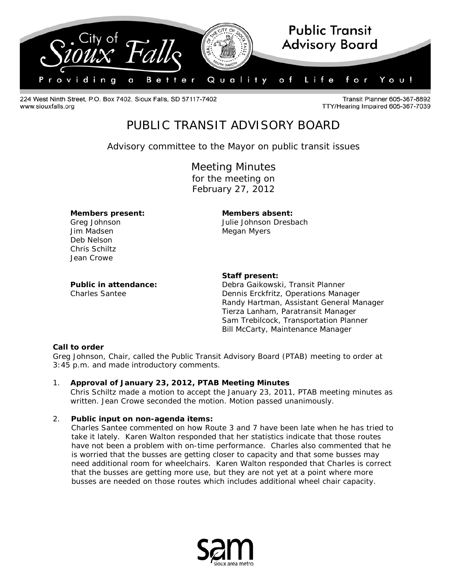

224 West Ninth Street, P.O. Box 7402, Sioux Falls, SD 57117-7402 www.siouxfalls.org

Transit Planner 605-367-8892 TTY/Hearing Impaired 605-367-7039

# PUBLIC TRANSIT ADVISORY BOARD

*Advisory committee to the Mayor on public transit issues*

Meeting Minutes for the meeting on February 27, 2012

**Members present: Members absent:**

Jim Madsen **Megan Myers** Megan Myers Deb Nelson Chris Schiltz Jean Crowe

Greg Johnson Julie Johnson Dresbach

#### **Staff present:**

**Public in attendance:** Debra Gaikowski, Transit Planner Charles Santee Dennis Erckfritz, Operations Manager Randy Hartman, Assistant General Manager Tierza Lanham, Paratransit Manager Sam Trebilcock, Transportation Planner Bill McCarty, Maintenance Manager

### **Call to order**

Greg Johnson, Chair, called the Public Transit Advisory Board (PTAB) meeting to order at 3:45 p.m. and made introductory comments.

1. **Approval of January 23, 2012, PTAB Meeting Minutes** Chris Schiltz made a motion to accept the January 23, 2011, PTAB meeting minutes as written. Jean Crowe seconded the motion. Motion passed unanimously.

### 2. **Public input on non-agenda items:**

 Charles Santee commented on how Route 3 and 7 have been late when he has tried to take it lately. Karen Walton responded that her statistics indicate that those routes have not been a problem with on-time performance. Charles also commented that he is worried that the busses are getting closer to capacity and that some busses may need additional room for wheelchairs. Karen Walton responded that Charles is correct that the busses are getting more use, but they are not yet at a point where more busses are needed on those routes which includes additional wheel chair capacity.

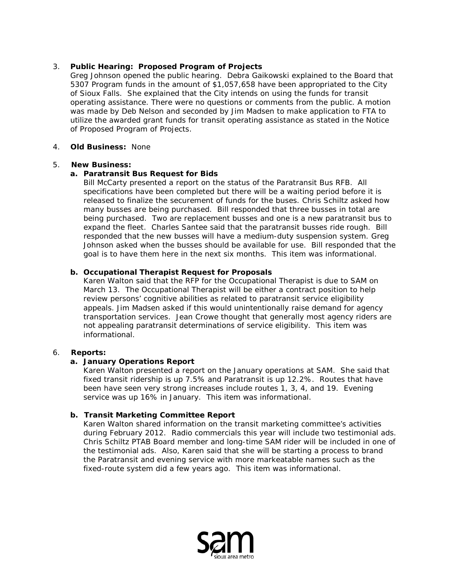### 3. **Public Hearing: Proposed Program of Projects**

Greg Johnson opened the public hearing. Debra Gaikowski explained to the Board that 5307 Program funds in the amount of \$1,057,658 have been appropriated to the City of Sioux Falls. She explained that the City intends on using the funds for transit operating assistance. There were no questions or comments from the public. A motion was made by Deb Nelson and seconded by Jim Madsen to make application to FTA to utilize the awarded grant funds for transit operating assistance as stated in the Notice of Proposed Program of Projects.

### 4. **Old Business:** None

### 5. **New Business:**

### **a. Paratransit Bus Request for Bids**

Bill McCarty presented a report on the status of the Paratransit Bus RFB. All specifications have been completed but there will be a waiting period before it is released to finalize the securement of funds for the buses. Chris Schiltz asked how many busses are being purchased. Bill responded that three busses in total are being purchased. Two are replacement busses and one is a new paratransit bus to expand the fleet. Charles Santee said that the paratransit busses ride rough. Bill responded that the new busses will have a medium-duty suspension system. Greg Johnson asked when the busses should be available for use. Bill responded that the goal is to have them here in the next six months. This item was informational.

## **b. Occupational Therapist Request for Proposals**

Karen Walton said that the RFP for the Occupational Therapist is due to SAM on March 13. The Occupational Therapist will be either a contract position to help review persons' cognitive abilities as related to paratransit service eligibility appeals. Jim Madsen asked if this would unintentionally raise demand for agency transportation services. Jean Crowe thought that generally most agency riders are not appealing paratransit determinations of service eligibility. This item was informational.

### 6. **Reports:**

### **a. January Operations Report**

Karen Walton presented a report on the January operations at SAM. She said that fixed transit ridership is up 7.5% and Paratransit is up 12.2%. Routes that have been have seen very strong increases include routes 1, 3, 4, and 19. Evening service was up 16% in January. This item was informational.

### **b. Transit Marketing Committee Report**

Karen Walton shared information on the transit marketing committee's activities during February 2012. Radio commercials this year will include two testimonial ads. Chris Schiltz PTAB Board member and long-time SAM rider will be included in one of the testimonial ads. Also, Karen said that she will be starting a process to brand the Paratransit and evening service with more markeatable names such as the fixed-route system did a few years ago. This item was informational.